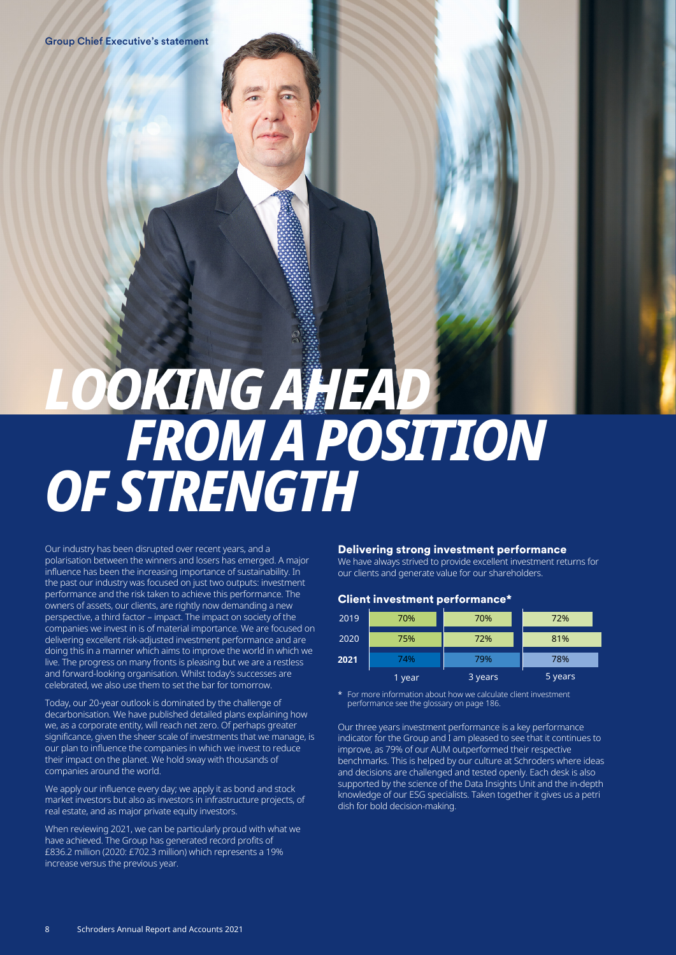# *LOOKING AHEAD FROM A POSITION OF STRENGTH*

Our industry has been disrupted over recent years, and a polarisation between the winners and losers has emerged. A major influence has been the increasing importance of sustainability. In the past our industry was focused on just two outputs: investment performance and the risk taken to achieve this performance. The owners of assets, our clients, are rightly now demanding a new perspective, a third factor – impact. The impact on society of the companies we invest in is of material importance. We are focused on delivering excellent risk-adjusted investment performance and are doing this in a manner which aims to improve the world in which we live. The progress on many fronts is pleasing but we are a restless and forward-looking organisation. Whilst today's successes are celebrated, we also use them to set the bar for tomorrow.

Today, our 20-year outlook is dominated by the challenge of decarbonisation. We have published detailed plans explaining how we, as a corporate entity, will reach net zero. Of perhaps greater significance, given the sheer scale of investments that we manage, is our plan to influence the companies in which we invest to reduce their impact on the planet. We hold sway with thousands of companies around the world.

We apply our influence every day; we apply it as bond and stock market investors but also as investors in infrastructure projects, of real estate, and as major private equity investors.

When reviewing 2021, we can be particularly proud with what we have achieved. The Group has generated record profits of £836.2 million (2020: £702.3 million) which represents a 19% increase versus the previous year.

#### Delivering strong investment performance

We have always strived to provide excellent investment returns for our clients and generate value for our shareholders.

#### Client investment performance\*

| 2019 | 70%    | 70%     | 72%     |
|------|--------|---------|---------|
| 2020 | 75%    | 72%     | 81%     |
| 2021 | 74%    | 79%     | 78%     |
|      | 1 year | 3 years | 5 years |

For more information about how we calculate client investment performance see the glossary on page 186.

Our three years investment performance is a key performance indicator for the Group and I am pleased to see that it continues to improve, as 79% of our AUM outperformed their respective benchmarks. This is helped by our culture at Schroders where ideas and decisions are challenged and tested openly. Each desk is also supported by the science of the Data Insights Unit and the in-depth knowledge of our ESG specialists. Taken together it gives us a petri dish for bold decision-making.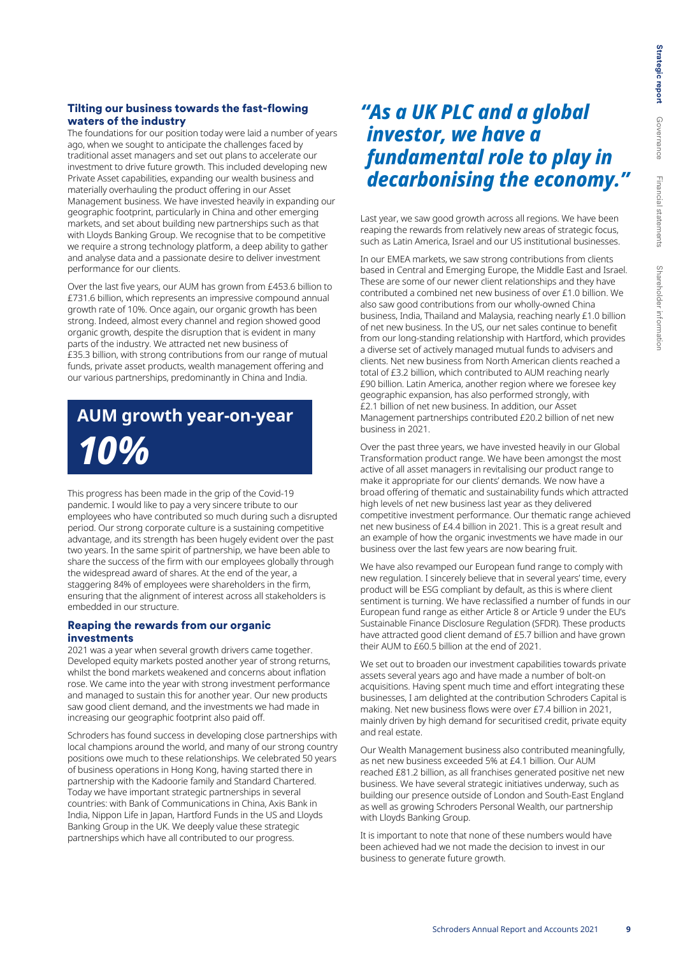#### Tilting our business towards the fast-flowing waters of the industry

The foundations for our position today were laid a number of years ago, when we sought to anticipate the challenges faced by traditional asset managers and set out plans to accelerate our investment to drive future growth. This included developing new Private Asset capabilities, expanding our wealth business and materially overhauling the product offering in our Asset Management business. We have invested heavily in expanding our geographic footprint, particularly in China and other emerging markets, and set about building new partnerships such as that with Lloyds Banking Group. We recognise that to be competitive we require a strong technology platform, a deep ability to gather and analyse data and a passionate desire to deliver investment performance for our clients.

Over the last five years, our AUM has grown from £453.6 billion to £731.6 billion, which represents an impressive compound annual growth rate of 10%. Once again, our organic growth has been strong. Indeed, almost every channel and region showed good organic growth, despite the disruption that is evident in many parts of the industry. We attracted net new business of £35.3 billion, with strong contributions from our range of mutual funds, private asset products, wealth management offering and our various partnerships, predominantly in China and India.

## **AUM growth year-on-year** *10%*

This progress has been made in the grip of the Covid-19 pandemic. I would like to pay a very sincere tribute to our employees who have contributed so much during such a disrupted period. Our strong corporate culture is a sustaining competitive advantage, and its strength has been hugely evident over the past two years. In the same spirit of partnership, we have been able to share the success of the firm with our employees globally through the widespread award of shares. At the end of the year, a staggering 84% of employees were shareholders in the firm, ensuring that the alignment of interest across all stakeholders is embedded in our structure.

#### Reaping the rewards from our organic investments

2021 was a year when several growth drivers came together. Developed equity markets posted another year of strong returns, whilst the bond markets weakened and concerns about inflation rose. We came into the year with strong investment performance and managed to sustain this for another year. Our new products saw good client demand, and the investments we had made in increasing our geographic footprint also paid off.

Schroders has found success in developing close partnerships with local champions around the world, and many of our strong country positions owe much to these relationships. We celebrated 50 years of business operations in Hong Kong, having started there in partnership with the Kadoorie family and Standard Chartered. Today we have important strategic partnerships in several countries: with Bank of Communications in China, Axis Bank in India, Nippon Life in Japan, Hartford Funds in the US and Lloyds Banking Group in the UK. We deeply value these strategic partnerships which have all contributed to our progress.

### *"As a UK PLC and a global investor, we have a fundamental role to play in decarbonising the economy."*

Last year, we saw good growth across all regions. We have been reaping the rewards from relatively new areas of strategic focus, such as Latin America, Israel and our US institutional businesses.

In our EMEA markets, we saw strong contributions from clients based in Central and Emerging Europe, the Middle East and Israel. These are some of our newer client relationships and they have contributed a combined net new business of over £1.0 billion. We also saw good contributions from our wholly-owned China business, India, Thailand and Malaysia, reaching nearly £1.0 billion of net new business. In the US, our net sales continue to benefit from our long-standing relationship with Hartford, which provides a diverse set of actively managed mutual funds to advisers and clients. Net new business from North American clients reached a total of £3.2 billion, which contributed to AUM reaching nearly £90 billion. Latin America, another region where we foresee key geographic expansion, has also performed strongly, with £2.1 billion of net new business. In addition, our Asset Management partnerships contributed £20.2 billion of net new business in 2021.

Over the past three years, we have invested heavily in our Global Transformation product range. We have been amongst the most active of all asset managers in revitalising our product range to make it appropriate for our clients' demands. We now have a broad offering of thematic and sustainability funds which attracted high levels of net new business last year as they delivered competitive investment performance. Our thematic range achieved net new business of £4.4 billion in 2021. This is a great result and an example of how the organic investments we have made in our business over the last few years are now bearing fruit.

We have also revamped our European fund range to comply with new regulation. I sincerely believe that in several years' time, every product will be ESG compliant by default, as this is where client sentiment is turning. We have reclassified a number of funds in our European fund range as either Article 8 or Article 9 under the EU's Sustainable Finance Disclosure Regulation (SFDR). These products have attracted good client demand of £5.7 billion and have grown their AUM to £60.5 billion at the end of 2021.

We set out to broaden our investment capabilities towards private assets several years ago and have made a number of bolt-on acquisitions. Having spent much time and effort integrating these businesses, I am delighted at the contribution Schroders Capital is making. Net new business flows were over £7.4 billion in 2021, mainly driven by high demand for securitised credit, private equity and real estate.

Our Wealth Management business also contributed meaningfully, as net new business exceeded 5% at £4.1 billion. Our AUM reached £81.2 billion, as all franchises generated positive net new business. We have several strategic initiatives underway, such as building our presence outside of London and South-East England as well as growing Schroders Personal Wealth, our partnership with Lloyds Banking Group.

It is important to note that none of these numbers would have been achieved had we not made the decision to invest in our business to generate future growth.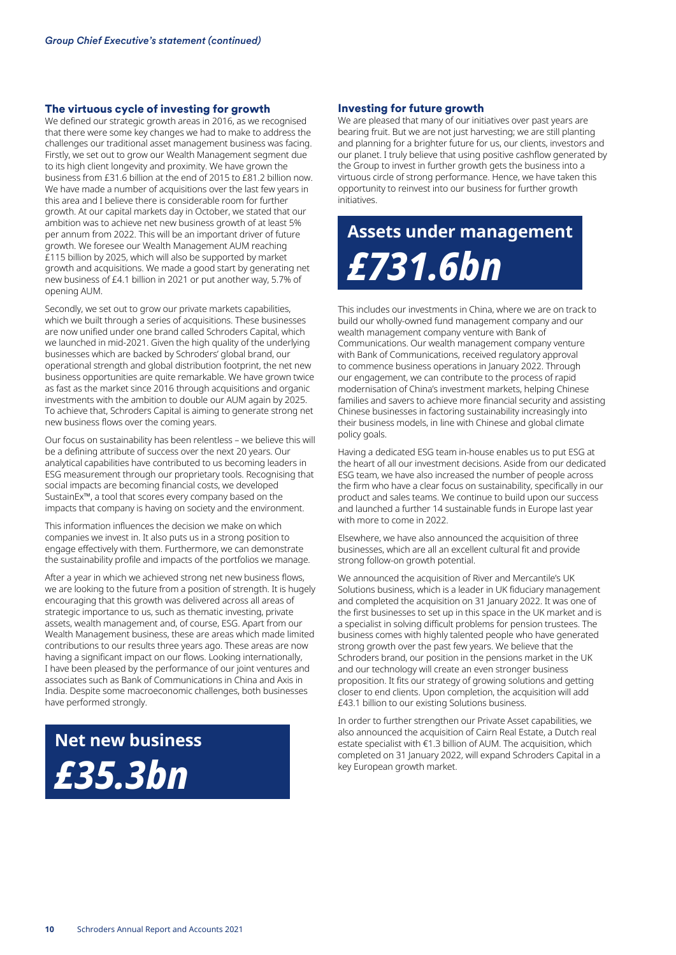#### The virtuous cycle of investing for growth

We defined our strategic growth areas in 2016, as we recognised that there were some key changes we had to make to address the challenges our traditional asset management business was facing. Firstly, we set out to grow our Wealth Management segment due to its high client longevity and proximity. We have grown the business from £31.6 billion at the end of 2015 to £81.2 billion now. We have made a number of acquisitions over the last few years in this area and I believe there is considerable room for further growth. At our capital markets day in October, we stated that our ambition was to achieve net new business growth of at least 5% per annum from 2022. This will be an important driver of future growth. We foresee our Wealth Management AUM reaching £115 billion by 2025, which will also be supported by market growth and acquisitions. We made a good start by generating net new business of £4.1 billion in 2021 or put another way, 5.7% of opening AUM.

Secondly, we set out to grow our private markets capabilities, which we built through a series of acquisitions. These businesses are now unified under one brand called Schroders Capital, which we launched in mid-2021. Given the high quality of the underlying businesses which are backed by Schroders' global brand, our operational strength and global distribution footprint, the net new business opportunities are quite remarkable. We have grown twice as fast as the market since 2016 through acquisitions and organic investments with the ambition to double our AUM again by 2025. To achieve that, Schroders Capital is aiming to generate strong net new business flows over the coming years.

Our focus on sustainability has been relentless – we believe this will be a defining attribute of success over the next 20 years. Our analytical capabilities have contributed to us becoming leaders in ESG measurement through our proprietary tools. Recognising that social impacts are becoming financial costs, we developed SustainEx™, a tool that scores every company based on the impacts that company is having on society and the environment.

This information influences the decision we make on which companies we invest in. It also puts us in a strong position to engage effectively with them. Furthermore, we can demonstrate the sustainability profile and impacts of the portfolios we manage.

After a year in which we achieved strong net new business flows, we are looking to the future from a position of strength. It is hugely encouraging that this growth was delivered across all areas of strategic importance to us, such as thematic investing, private assets, wealth management and, of course, ESG. Apart from our Wealth Management business, these are areas which made limited contributions to our results three years ago. These areas are now having a significant impact on our flows. Looking internationally, I have been pleased by the performance of our joint ventures and associates such as Bank of Communications in China and Axis in India. Despite some macroeconomic challenges, both businesses have performed strongly.



#### Investing for future growth

We are pleased that many of our initiatives over past years are bearing fruit. But we are not just harvesting; we are still planting and planning for a brighter future for us, our clients, investors and our planet. I truly believe that using positive cashflow generated by the Group to invest in further growth gets the business into a virtuous circle of strong performance. Hence, we have taken this opportunity to reinvest into our business for further growth initiatives.

# **Assets under management** *£731.6bn*

This includes our investments in China, where we are on track to build our wholly-owned fund management company and our wealth management company venture with Bank of Communications. Our wealth management company venture with Bank of Communications, received regulatory approval to commence business operations in January 2022. Through our engagement, we can contribute to the process of rapid modernisation of China's investment markets, helping Chinese families and savers to achieve more financial security and assisting Chinese businesses in factoring sustainability increasingly into their business models, in line with Chinese and global climate policy goals.

Having a dedicated ESG team in-house enables us to put ESG at the heart of all our investment decisions. Aside from our dedicated ESG team, we have also increased the number of people across the firm who have a clear focus on sustainability, specifically in our product and sales teams. We continue to build upon our success and launched a further 14 sustainable funds in Europe last year with more to come in 2022.

Elsewhere, we have also announced the acquisition of three businesses, which are all an excellent cultural fit and provide strong follow-on growth potential.

We announced the acquisition of River and Mercantile's UK Solutions business, which is a leader in UK fiduciary management and completed the acquisition on 31 January 2022. It was one of the first businesses to set up in this space in the UK market and is a specialist in solving difficult problems for pension trustees. The business comes with highly talented people who have generated strong growth over the past few years. We believe that the Schroders brand, our position in the pensions market in the UK and our technology will create an even stronger business proposition. It fits our strategy of growing solutions and getting closer to end clients. Upon completion, the acquisition will add £43.1 billion to our existing Solutions business.

In order to further strengthen our Private Asset capabilities, we also announced the acquisition of Cairn Real Estate, a Dutch real estate specialist with €1.3 billion of AUM. The acquisition, which completed on 31 January 2022, will expand Schroders Capital in a key European growth market.